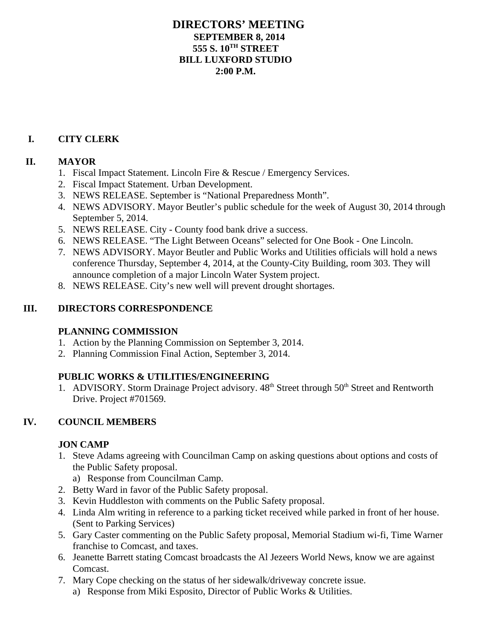## **DIRECTORS' MEETING SEPTEMBER 8, 2014 555 S. 10TH STREET BILL LUXFORD STUDIO 2:00 P.M.**

## **I. CITY CLERK**

### **II. MAYOR**

- 1. Fiscal Impact Statement. Lincoln Fire & Rescue / Emergency Services.
- 2. Fiscal Impact Statement. Urban Development.
- 3. NEWS RELEASE. September is "National Preparedness Month".
- 4. NEWS ADVISORY. Mayor Beutler's public schedule for the week of August 30, 2014 through September 5, 2014.
- 5. NEWS RELEASE. City County food bank drive a success.
- 6. NEWS RELEASE. "The Light Between Oceans" selected for One Book One Lincoln.
- 7. NEWS ADVISORY. Mayor Beutler and Public Works and Utilities officials will hold a news conference Thursday, September 4, 2014, at the County-City Building, room 303. They will announce completion of a major Lincoln Water System project.
- 8. NEWS RELEASE. City's new well will prevent drought shortages.

## **III. DIRECTORS CORRESPONDENCE**

### **PLANNING COMMISSION**

- 1. Action by the Planning Commission on September 3, 2014.
- 2. Planning Commission Final Action, September 3, 2014.

# **PUBLIC WORKS & UTILITIES/ENGINEERING**

1. ADVISORY. Storm Drainage Project advisory.  $48<sup>th</sup>$  Street through  $50<sup>th</sup>$  Street and Rentworth Drive. Project #701569.

# **IV. COUNCIL MEMBERS**

### **JON CAMP**

1. Steve Adams agreeing with Councilman Camp on asking questions about options and costs of the Public Safety proposal.

a) Response from Councilman Camp.

- 2. Betty Ward in favor of the Public Safety proposal.
- 3. Kevin Huddleston with comments on the Public Safety proposal.
- 4. Linda Alm writing in reference to a parking ticket received while parked in front of her house. (Sent to Parking Services)
- 5. Gary Caster commenting on the Public Safety proposal, Memorial Stadium wi-fi, Time Warner franchise to Comcast, and taxes.
- 6. Jeanette Barrett stating Comcast broadcasts the Al Jezeers World News, know we are against Comcast.
- 7. Mary Cope checking on the status of her sidewalk/driveway concrete issue.
	- a) Response from Miki Esposito, Director of Public Works & Utilities.